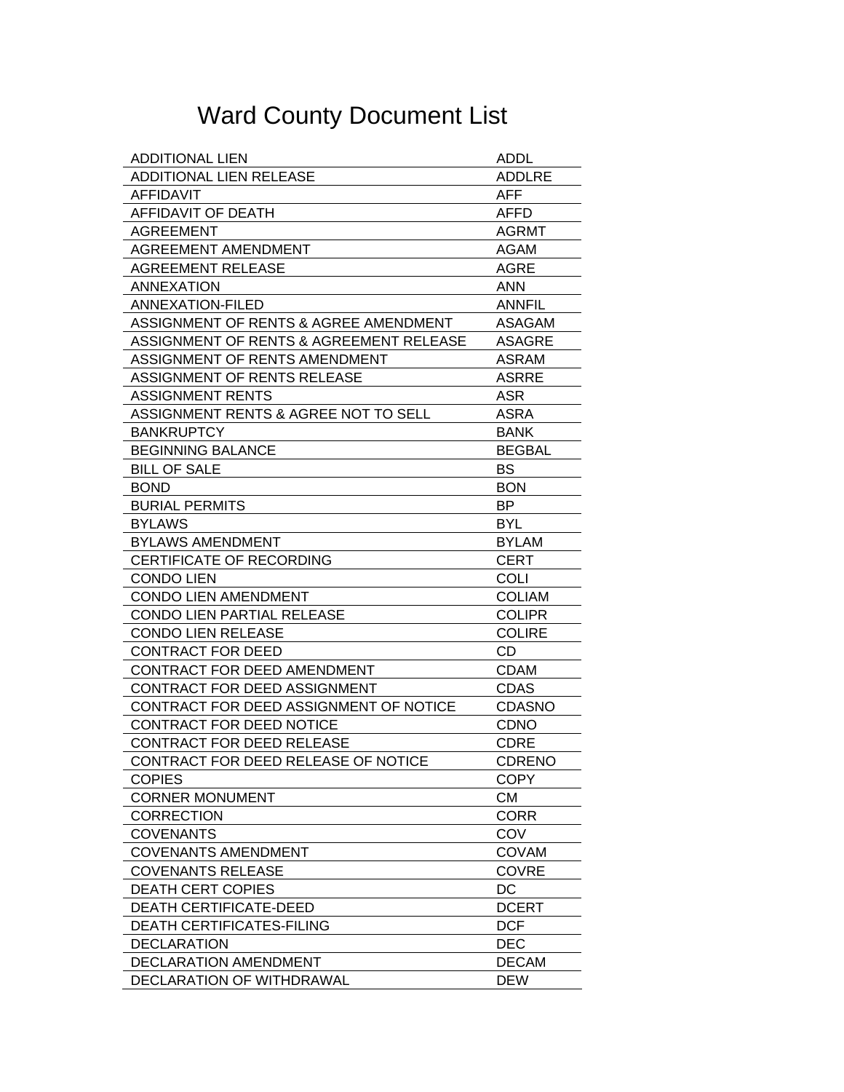## Ward County Document List

| <b>ADDITIONAL LIEN</b>                  | <b>ADDL</b>   |
|-----------------------------------------|---------------|
| <b>ADDITIONAL LIEN RELEASE</b>          | <b>ADDLRE</b> |
| <b>AFFIDAVIT</b>                        | <b>AFF</b>    |
| AFFIDAVIT OF DEATH                      | <b>AFFD</b>   |
| <b>AGREEMENT</b>                        | <b>AGRMT</b>  |
| AGREEMENT AMENDMENT                     | AGAM          |
| <b>AGREEMENT RELEASE</b>                | AGRE          |
| <b>ANNEXATION</b>                       | <b>ANN</b>    |
| <b>ANNEXATION-FILED</b>                 | <b>ANNFIL</b> |
| ASSIGNMENT OF RENTS & AGREE AMENDMENT   | ASAGAM        |
| ASSIGNMENT OF RENTS & AGREEMENT RELEASE | ASAGRE        |
| ASSIGNMENT OF RENTS AMENDMENT           | ASRAM         |
| ASSIGNMENT OF RENTS RELEASE             | <b>ASRRE</b>  |
| <b>ASSIGNMENT RENTS</b>                 | <b>ASR</b>    |
| ASSIGNMENT RENTS & AGREE NOT TO SELL    | ASRA          |
| <b>BANKRUPTCY</b>                       | <b>BANK</b>   |
| <b>BEGINNING BALANCE</b>                | <b>BEGBAL</b> |
| <b>BILL OF SALE</b>                     | BS            |
| <b>BOND</b>                             | <b>BON</b>    |
| <b>BURIAL PERMITS</b>                   | BP.           |
| <b>BYLAWS</b>                           | <b>BYL</b>    |
| <b>BYLAWS AMENDMENT</b>                 | <b>BYLAM</b>  |
| CERTIFICATE OF RECORDING                | <b>CERT</b>   |
|                                         |               |
| <b>CONDO LIEN</b>                       | <b>COLI</b>   |
| <b>CONDO LIEN AMENDMENT</b>             | <b>COLIAM</b> |
| CONDO LIEN PARTIAL RELEASE              | <b>COLIPR</b> |
| <b>CONDO LIEN RELEASE</b>               | <b>COLIRE</b> |
| <b>CONTRACT FOR DEED</b>                | CD.           |
| CONTRACT FOR DEED AMENDMENT             | <b>CDAM</b>   |
| CONTRACT FOR DEED ASSIGNMENT            | <b>CDAS</b>   |
| CONTRACT FOR DEED ASSIGNMENT OF NOTICE  | <b>CDASNO</b> |
| CONTRACT FOR DEED NOTICE                | <b>CDNO</b>   |
| CONTRACT FOR DEED RELEASE               | <b>CDRE</b>   |
| CONTRACT FOR DEED RELEASE OF NOTICE     | <b>CDRENO</b> |
| <b>COPIES</b>                           | <b>COPY</b>   |
| <b>CORNER MONUMENT</b>                  | <b>CM</b>     |
| <b>CORRECTION</b>                       | <b>CORR</b>   |
| <b>COVENANTS</b>                        | COV           |
| <b>COVENANTS AMENDMENT</b>              | <b>COVAM</b>  |
| <b>COVENANTS RELEASE</b>                | <b>COVRE</b>  |
| <b>DEATH CERT COPIES</b>                | DC            |
| <b>DEATH CERTIFICATE-DEED</b>           | <b>DCERT</b>  |
| <b>DEATH CERTIFICATES-FILING</b>        | <b>DCF</b>    |
| <b>DECLARATION</b>                      | <b>DEC</b>    |
| DECLARATION AMENDMENT                   | <b>DECAM</b>  |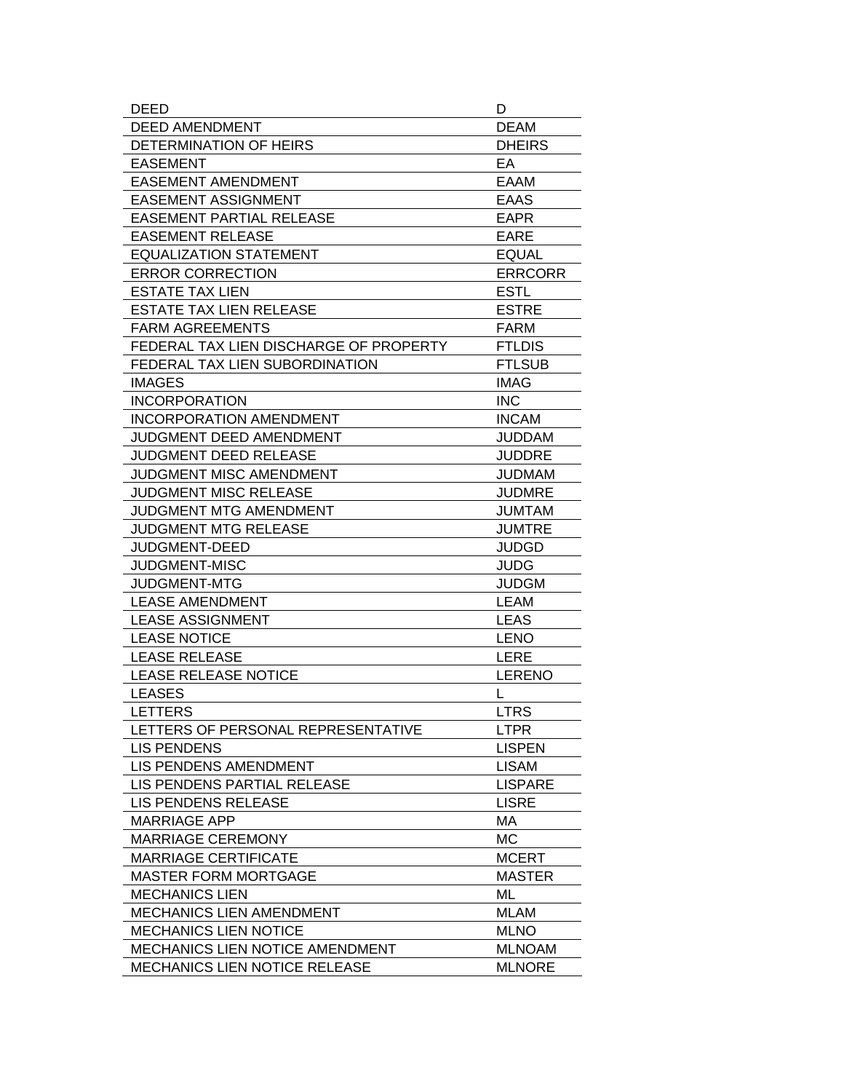| DEED                                   | D              |
|----------------------------------------|----------------|
| <b>DEED AMENDMENT</b>                  | <b>DEAM</b>    |
| DETERMINATION OF HEIRS                 | <b>DHEIRS</b>  |
| <b>EASEMENT</b>                        | EA             |
| <b>EASEMENT AMENDMENT</b>              | <b>EAAM</b>    |
| <b>EASEMENT ASSIGNMENT</b>             | <b>EAAS</b>    |
| <b>EASEMENT PARTIAL RELEASE</b>        | <b>EAPR</b>    |
| <b>EASEMENT RELEASE</b>                | <b>EARE</b>    |
| <b>EQUALIZATION STATEMENT</b>          | <b>EQUAL</b>   |
| <b>ERROR CORRECTION</b>                | <b>ERRCORR</b> |
| <b>ESTATE TAX LIEN</b>                 | <b>ESTL</b>    |
| <b>ESTATE TAX LIEN RELEASE</b>         | <b>ESTRE</b>   |
| <b>FARM AGREEMENTS</b>                 | <b>FARM</b>    |
| FEDERAL TAX LIEN DISCHARGE OF PROPERTY | <b>FTLDIS</b>  |
| FEDERAL TAX LIEN SUBORDINATION         | <b>FTLSUB</b>  |
| <b>IMAGES</b>                          | <b>IMAG</b>    |
| <b>INCORPORATION</b>                   | <b>INC</b>     |
| <b>INCORPORATION AMENDMENT</b>         | <b>INCAM</b>   |
| JUDGMENT DEED AMENDMENT                | <b>JUDDAM</b>  |
| <b>JUDGMENT DEED RELEASE</b>           | <b>JUDDRE</b>  |
| <b>JUDGMENT MISC AMENDMENT</b>         | <b>JUDMAM</b>  |
| JUDGMENT MISC RELEASE                  | <b>JUDMRE</b>  |
| JUDGMENT MTG AMENDMENT                 | <b>JUMTAM</b>  |
| <b>JUDGMENT MTG RELEASE</b>            | <b>JUMTRE</b>  |
| JUDGMENT-DEED                          | <b>JUDGD</b>   |
| <b>JUDGMENT-MISC</b>                   | <b>JUDG</b>    |
| <b>JUDGMENT-MTG</b>                    | <b>JUDGM</b>   |
| <b>LEASE AMENDMENT</b>                 | <b>LEAM</b>    |
| <b>LEASE ASSIGNMENT</b>                | <b>LEAS</b>    |
| <b>LEASE NOTICE</b>                    | <b>LENO</b>    |
| <b>LEASE RELEASE</b>                   | <b>LERE</b>    |
| <b>LEASE RELEASE NOTICE</b>            | <b>LERENO</b>  |
| <b>LEASES</b>                          | L              |
| <b>LETTERS</b>                         | <b>LTRS</b>    |
| LETTERS OF PERSONAL REPRESENTATIVE     | <b>LTPR</b>    |
| <b>LIS PENDENS</b>                     | <b>LISPEN</b>  |
| LIS PENDENS AMENDMENT                  | <b>LISAM</b>   |
| LIS PENDENS PARTIAL RELEASE            | <b>LISPARE</b> |
| LIS PENDENS RELEASE                    | <b>LISRE</b>   |
| <b>MARRIAGE APP</b>                    | МA             |
| <b>MARRIAGE CEREMONY</b>               | MC             |
| <b>MARRIAGE CERTIFICATE</b>            | <b>MCERT</b>   |
| <b>MASTER FORM MORTGAGE</b>            | <b>MASTER</b>  |
| <b>MECHANICS LIEN</b>                  | ML             |
| MECHANICS LIEN AMENDMENT               | <b>MLAM</b>    |
| <b>MECHANICS LIEN NOTICE</b>           | <b>MLNO</b>    |
| MECHANICS LIEN NOTICE AMENDMENT        | <b>MLNOAM</b>  |
| <b>MECHANICS LIEN NOTICE RELEASE</b>   | <b>MLNORE</b>  |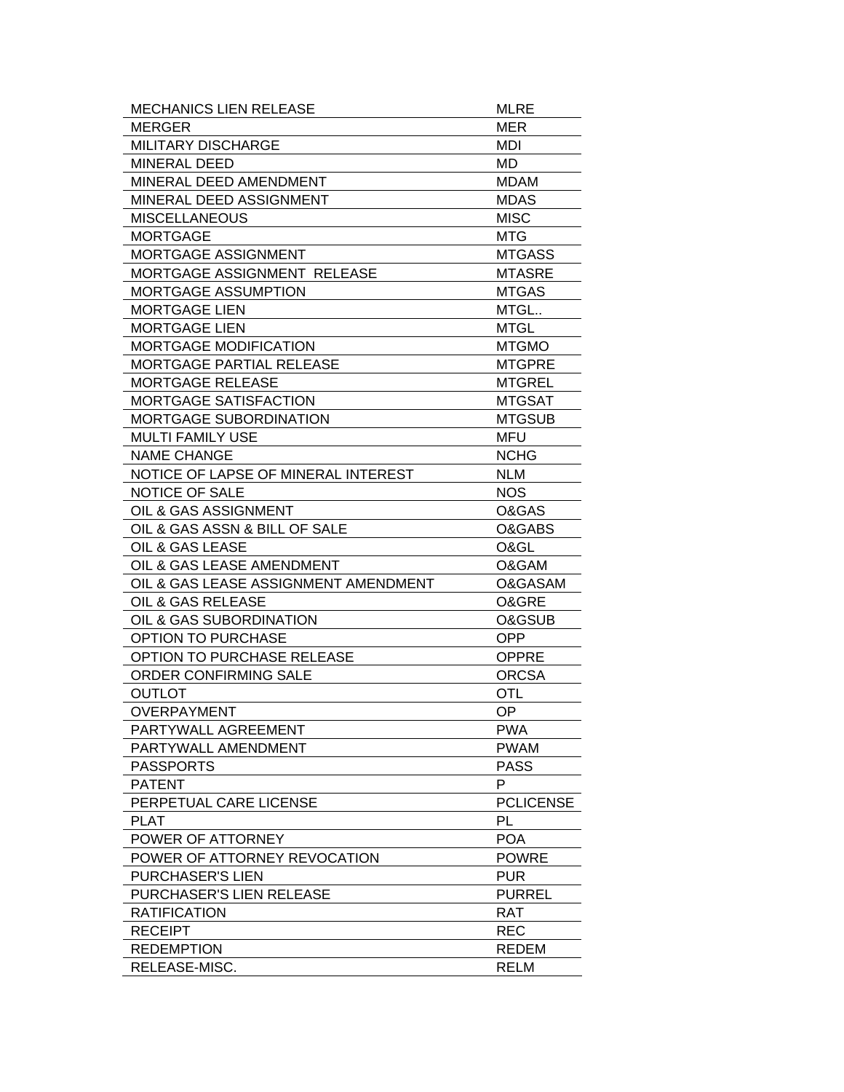| <b>MECHANICS LIEN RELEASE</b>        | MLRE             |
|--------------------------------------|------------------|
| <b>MERGER</b>                        | <b>MER</b>       |
| MILITARY DISCHARGE                   | MDI              |
| MINERAL DEED                         | MD.              |
| MINERAL DEED AMENDMENT               | <b>MDAM</b>      |
| MINERAL DEED ASSIGNMENT              | <b>MDAS</b>      |
| <b>MISCELLANEOUS</b>                 | <b>MISC</b>      |
| <b>MORTGAGE</b>                      | <b>MTG</b>       |
| <b>MORTGAGE ASSIGNMENT</b>           | <b>MTGASS</b>    |
| MORTGAGE ASSIGNMENT RELEASE          | <b>MTASRE</b>    |
| <b>MORTGAGE ASSUMPTION</b>           | <b>MTGAS</b>     |
| <b>MORTGAGE LIEN</b>                 | MTGL             |
| <b>MORTGAGE LIEN</b>                 | <b>MTGL</b>      |
| <b>MORTGAGE MODIFICATION</b>         | <b>MTGMO</b>     |
| <b>MORTGAGE PARTIAL RELEASE</b>      | <b>MTGPRE</b>    |
| <b>MORTGAGE RELEASE</b>              | <b>MTGREL</b>    |
| <b>MORTGAGE SATISFACTION</b>         | <b>MTGSAT</b>    |
| <b>MORTGAGE SUBORDINATION</b>        | <b>MTGSUB</b>    |
| <b>MULTI FAMILY USE</b>              | MFU              |
| <b>NAME CHANGE</b>                   | <b>NCHG</b>      |
| NOTICE OF LAPSE OF MINERAL INTEREST  | <b>NLM</b>       |
| <b>NOTICE OF SALE</b>                | <b>NOS</b>       |
| OIL & GAS ASSIGNMENT                 | O&GAS            |
| OIL & GAS ASSN & BILL OF SALE        | O&GABS           |
| OIL & GAS LEASE                      | O&GL             |
| OIL & GAS LEASE AMENDMENT            | O&GAM            |
| OIL & GAS LEASE ASSIGNMENT AMENDMENT | O&GASAM          |
| OIL & GAS RELEASE                    | O&GRE            |
| OIL & GAS SUBORDINATION              | O&GSUB           |
| <b>OPTION TO PURCHASE</b>            | <b>OPP</b>       |
| OPTION TO PURCHASE RELEASE           | <b>OPPRE</b>     |
| ORDER CONFIRMING SALE                | <b>ORCSA</b>     |
| <b>OUTLOT</b>                        | OTL              |
| <b>OVERPAYMENT</b>                   | OP               |
| PARTYWALL AGREEMENT                  | <b>PWA</b>       |
| PARTYWALL AMENDMENT                  | <b>PWAM</b>      |
| <b>PASSPORTS</b>                     | <b>PASS</b>      |
| <b>PATENT</b>                        | P                |
| PERPETUAL CARE LICENSE               | <b>PCLICENSE</b> |
| <b>PLAT</b>                          | PL               |
| POWER OF ATTORNEY                    | <b>POA</b>       |
| POWER OF ATTORNEY REVOCATION         | <b>POWRE</b>     |
| PURCHASER'S LIEN                     | <b>PUR</b>       |
| PURCHASER'S LIEN RELEASE             | <b>PURREL</b>    |
| <b>RATIFICATION</b>                  | <b>RAT</b>       |
| <b>RECEIPT</b>                       | <b>REC</b>       |
| <b>REDEMPTION</b>                    | <b>REDEM</b>     |
| RELEASE-MISC.                        | <b>RELM</b>      |